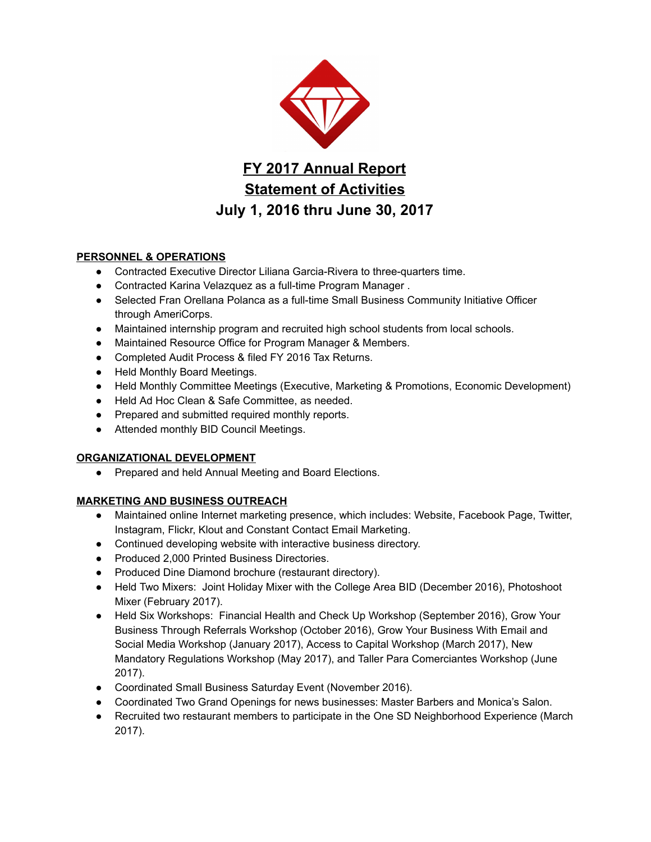

FY 2017 Annual Report Statement of Activities July 1, 2016 thru June 30, 2017

# PERSONNEL & OPERATIONS

- Contracted Executive Director Liliana Garcia-Rivera to three-quarters time.
- Contracted Karina Velazquez as a full-time Program Manager .
- Selected Fran Orellana Polanca as a full-time Small Business Community Initiative Officer through AmeriCorps.
- Maintained internship program and recruited high school students from local schools.
- Maintained Resource Office for Program Manager & Members.
- Completed Audit Process & filed FY 2016 Tax Returns.
- Held Monthly Board Meetings.
- Held Monthly Committee Meetings (Executive, Marketing & Promotions, Economic Development)
- Held Ad Hoc Clean & Safe Committee, as needed.
- Prepared and submitted required monthly reports.
- Attended monthly BID Council Meetings.

#### ORGANIZATIONAL DEVELOPMENT

● Prepared and held Annual Meeting and Board Elections.

## MARKETING AND BUSINESS OUTREACH

- Maintained online Internet marketing presence, which includes: Website, Facebook Page, Twitter, Instagram, Flickr, Klout and Constant Contact Email Marketing.
- Continued developing website with interactive business directory.
- Produced 2,000 Printed Business Directories.
- Produced Dine Diamond brochure (restaurant directory).
- Held Two Mixers: Joint Holiday Mixer with the College Area BID (December 2016), Photoshoot Mixer (February 2017).
- Held Six Workshops: Financial Health and Check Up Workshop (September 2016), Grow Your Business Through Referrals Workshop (October 2016), Grow Your Business With Email and Social Media Workshop (January 2017), Access to Capital Workshop (March 2017), New Mandatory Regulations Workshop (May 2017), and Taller Para Comerciantes Workshop (June 2017).
- Coordinated Small Business Saturday Event (November 2016).
- Coordinated Two Grand Openings for news businesses: Master Barbers and Monica's Salon.
- Recruited two restaurant members to participate in the One SD Neighborhood Experience (March 2017).